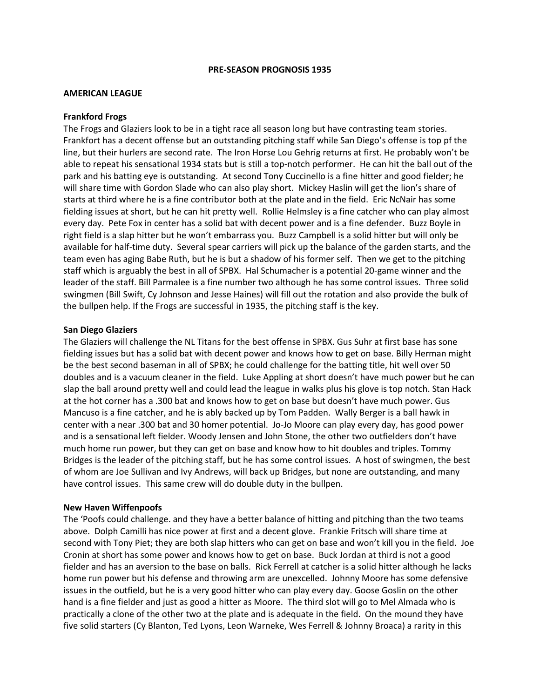#### **PRE-SEASON PROGNOSIS 1935**

## **AMERICAN LEAGUE**

### **Frankford Frogs**

The Frogs and Glaziers look to be in a tight race all season long but have contrasting team stories. Frankfort has a decent offense but an outstanding pitching staff while San Diego's offense is top pf the line, but their hurlers are second rate. The Iron Horse Lou Gehrig returns at first. He probably won't be able to repeat his sensational 1934 stats but is still a top-notch performer. He can hit the ball out of the park and his batting eye is outstanding. At second Tony Cuccinello is a fine hitter and good fielder; he will share time with Gordon Slade who can also play short. Mickey Haslin will get the lion's share of starts at third where he is a fine contributor both at the plate and in the field. Eric NcNair has some fielding issues at short, but he can hit pretty well. Rollie Helmsley is a fine catcher who can play almost every day. Pete Fox in center has a solid bat with decent power and is a fine defender. Buzz Boyle in right field is a slap hitter but he won't embarrass you. Buzz Campbell is a solid hitter but will only be available for half-time duty. Several spear carriers will pick up the balance of the garden starts, and the team even has aging Babe Ruth, but he is but a shadow of his former self. Then we get to the pitching staff which is arguably the best in all of SPBX. Hal Schumacher is a potential 20-game winner and the leader of the staff. Bill Parmalee is a fine number two although he has some control issues. Three solid swingmen (Bill Swift, Cy Johnson and Jesse Haines) will fill out the rotation and also provide the bulk of the bullpen help. If the Frogs are successful in 1935, the pitching staff is the key.

#### **San Diego Glaziers**

The Glaziers will challenge the NL Titans for the best offense in SPBX. Gus Suhr at first base has sone fielding issues but has a solid bat with decent power and knows how to get on base. Billy Herman might be the best second baseman in all of SPBX; he could challenge for the batting title, hit well over 50 doubles and is a vacuum cleaner in the field. Luke Appling at short doesn't have much power but he can slap the ball around pretty well and could lead the league in walks plus his glove is top notch. Stan Hack at the hot corner has a .300 bat and knows how to get on base but doesn't have much power. Gus Mancuso is a fine catcher, and he is ably backed up by Tom Padden. Wally Berger is a ball hawk in center with a near .300 bat and 30 homer potential. Jo-Jo Moore can play every day, has good power and is a sensational left fielder. Woody Jensen and John Stone, the other two outfielders don't have much home run power, but they can get on base and know how to hit doubles and triples. Tommy Bridges is the leader of the pitching staff, but he has some control issues. A host of swingmen, the best of whom are Joe Sullivan and Ivy Andrews, will back up Bridges, but none are outstanding, and many have control issues. This same crew will do double duty in the bullpen.

#### **New Haven Wiffenpoofs**

The 'Poofs could challenge. and they have a better balance of hitting and pitching than the two teams above. Dolph Camilli has nice power at first and a decent glove. Frankie Fritsch will share time at second with Tony Piet; they are both slap hitters who can get on base and won't kill you in the field. Joe Cronin at short has some power and knows how to get on base. Buck Jordan at third is not a good fielder and has an aversion to the base on balls. Rick Ferrell at catcher is a solid hitter although he lacks home run power but his defense and throwing arm are unexcelled. Johnny Moore has some defensive issues in the outfield, but he is a very good hitter who can play every day. Goose Goslin on the other hand is a fine fielder and just as good a hitter as Moore. The third slot will go to Mel Almada who is practically a clone of the other two at the plate and is adequate in the field. On the mound they have five solid starters (Cy Blanton, Ted Lyons, Leon Warneke, Wes Ferrell & Johnny Broaca) a rarity in this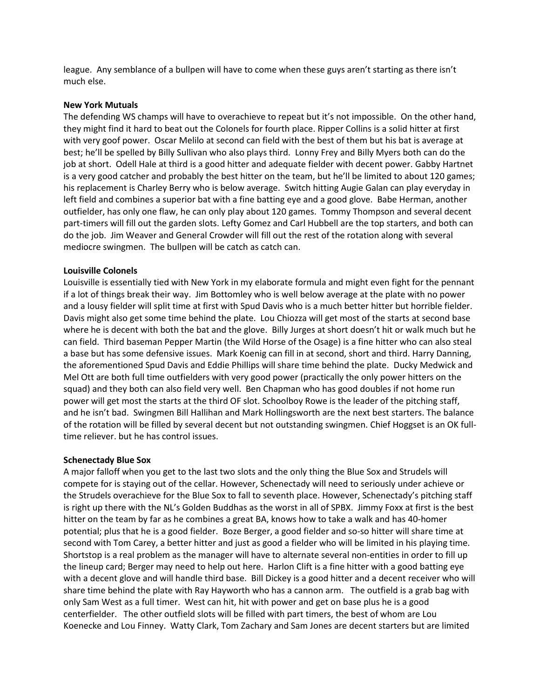league. Any semblance of a bullpen will have to come when these guys aren't starting as there isn't much else.

## **New York Mutuals**

The defending WS champs will have to overachieve to repeat but it's not impossible. On the other hand, they might find it hard to beat out the Colonels for fourth place. Ripper Collins is a solid hitter at first with very goof power. Oscar Melilo at second can field with the best of them but his bat is average at best; he'll be spelled by Billy Sullivan who also plays third. Lonny Frey and Billy Myers both can do the job at short. Odell Hale at third is a good hitter and adequate fielder with decent power. Gabby Hartnet is a very good catcher and probably the best hitter on the team, but he'll be limited to about 120 games; his replacement is Charley Berry who is below average. Switch hitting Augie Galan can play everyday in left field and combines a superior bat with a fine batting eye and a good glove. Babe Herman, another outfielder, has only one flaw, he can only play about 120 games. Tommy Thompson and several decent part-timers will fill out the garden slots. Lefty Gomez and Carl Hubbell are the top starters, and both can do the job. Jim Weaver and General Crowder will fill out the rest of the rotation along with several mediocre swingmen. The bullpen will be catch as catch can.

## **Louisville Colonels**

Louisville is essentially tied with New York in my elaborate formula and might even fight for the pennant if a lot of things break their way. Jim Bottomley who is well below average at the plate with no power and a lousy fielder will split time at first with Spud Davis who is a much better hitter but horrible fielder. Davis might also get some time behind the plate. Lou Chiozza will get most of the starts at second base where he is decent with both the bat and the glove. Billy Jurges at short doesn't hit or walk much but he can field. Third baseman Pepper Martin (the Wild Horse of the Osage) is a fine hitter who can also steal a base but has some defensive issues. Mark Koenig can fill in at second, short and third. Harry Danning, the aforementioned Spud Davis and Eddie Phillips will share time behind the plate. Ducky Medwick and Mel Ott are both full time outfielders with very good power (practically the only power hitters on the squad) and they both can also field very well. Ben Chapman who has good doubles if not home run power will get most the starts at the third OF slot. Schoolboy Rowe is the leader of the pitching staff, and he isn't bad. Swingmen Bill Hallihan and Mark Hollingsworth are the next best starters. The balance of the rotation will be filled by several decent but not outstanding swingmen. Chief Hoggset is an OK fulltime reliever. but he has control issues.

## **Schenectady Blue Sox**

A major falloff when you get to the last two slots and the only thing the Blue Sox and Strudels will compete for is staying out of the cellar. However, Schenectady will need to seriously under achieve or the Strudels overachieve for the Blue Sox to fall to seventh place. However, Schenectady's pitching staff is right up there with the NL's Golden Buddhas as the worst in all of SPBX. Jimmy Foxx at first is the best hitter on the team by far as he combines a great BA, knows how to take a walk and has 40-homer potential; plus that he is a good fielder. Boze Berger, a good fielder and so-so hitter will share time at second with Tom Carey, a better hitter and just as good a fielder who will be limited in his playing time. Shortstop is a real problem as the manager will have to alternate several non-entities in order to fill up the lineup card; Berger may need to help out here. Harlon Clift is a fine hitter with a good batting eye with a decent glove and will handle third base. Bill Dickey is a good hitter and a decent receiver who will share time behind the plate with Ray Hayworth who has a cannon arm. The outfield is a grab bag with only Sam West as a full timer. West can hit, hit with power and get on base plus he is a good centerfielder. The other outfield slots will be filled with part timers, the best of whom are Lou Koenecke and Lou Finney. Watty Clark, Tom Zachary and Sam Jones are decent starters but are limited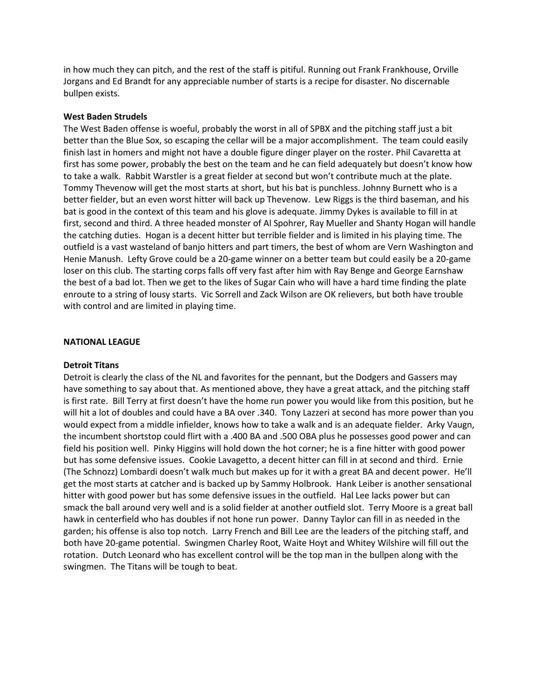in how much they can pitch, and the rest of the staff is pitiful. Running out Frank Frankhouse, Orville Jorgans and Ed Brandt for any appreciable number of starts is a recipe for disaster. No discernable bullpen exists.

## **West Baden Strudels**

The West Baden offense is woeful, probably the worst in all of SPBX and the pitching staff just a bit better than the Blue Sox, so escaping the cellar will be a major accomplishment. The team could easily finish last in homers and might not have a double figure dinger player on the roster. Phil Cavaretta at first has some power, probably the best on the team and he can field adequately but doesn't know how to take a walk. Rabbit Warstler is a great fielder at second but won't contribute much at the plate. Tommy Thevenow will get the most starts at short, but his bat is punchless. Johnny Burnett who is a better fielder, but an even worst hitter will back up Thevenow. Lew Riggs is the third baseman, and his bat is good in the context of this team and his glove is adequate. Jimmy Dykes is available to fill in at first, second and third. A three headed monster of Al Spohrer, Ray Mueller and Shanty Hogan will handle the catching duties. Hogan is a decent hitter but terrible fielder and is limited in his playing time. The outfield is a vast wasteland of banjo hitters and part timers, the best of whom are Vern Washington and Henie Manush. Lefty Grove could be a 20-game winner on a better team but could easily be a 20-game loser on this club. The starting corps falls off very fast after him with Ray Benge and George Earnshaw the best of a bad lot. Then we get to the likes of Sugar Cain who will have a hard time finding the plate enroute to a string of lousy starts. Vic Sorrell and Zack Wilson are OK relievers, but both have trouble with control and are limited in playing time.

#### **NATIONAL LEAGUE**

#### **Detroit Titans**

Detroit is clearly the class of the NL and favorites for the pennant, but the Dodgers and Gassers may have something to say about that. As mentioned above, they have a great attack, and the pitching staff is first rate. Bill Terry at first doesn't have the home run power you would like from this position, but he will hit a lot of doubles and could have a BA over .340. Tony Lazzeri at second has more power than you would expect from a middle infielder, knows how to take a walk and is an adequate fielder. Arky Vaugn, the incumbent shortstop could flirt with a .400 BA and .500 OBA plus he possesses good power and can field his position well. Pinky Higgins will hold down the hot corner; he is a fine hitter with good power but has some defensive issues. Cookie Lavagetto, a decent hitter can fill in at second and third. Ernie (The Schnozz) Lombardi doesn't walk much but makes up for it with a great BA and decent power. He'll get the most starts at catcher and is backed up by Sammy Holbrook. Hank Leiber is another sensational hitter with good power but has some defensive issues in the outfield. Hal Lee lacks power but can smack the ball around very well and is a solid fielder at another outfield slot. Terry Moore is a great ball hawk in centerfield who has doubles if not hone run power. Danny Taylor can fill in as needed in the garden; his offense is also top notch. Larry French and Bill Lee are the leaders of the pitching staff, and both have 20-game potential. Swingmen Charley Root, Waite Hoyt and Whitey Wilshire will fill out the rotation. Dutch Leonard who has excellent control will be the top man in the bullpen along with the swingmen. The Titans will be tough to beat.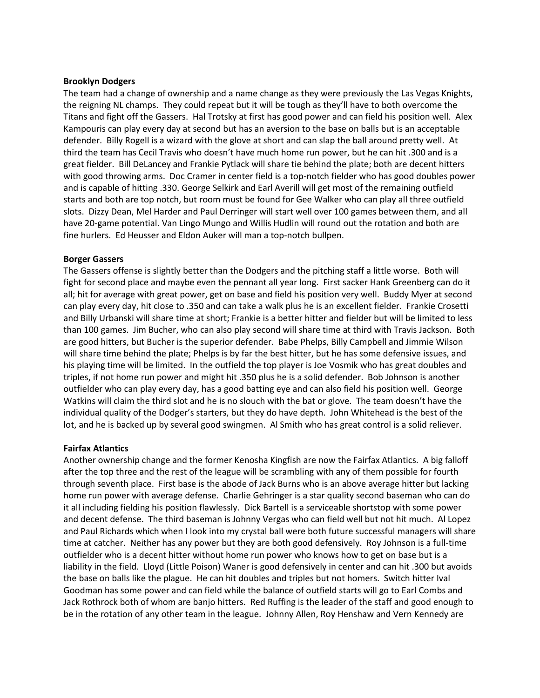## **Brooklyn Dodgers**

The team had a change of ownership and a name change as they were previously the Las Vegas Knights, the reigning NL champs. They could repeat but it will be tough as they'll have to both overcome the Titans and fight off the Gassers. Hal Trotsky at first has good power and can field his position well. Alex Kampouris can play every day at second but has an aversion to the base on balls but is an acceptable defender. Billy Rogell is a wizard with the glove at short and can slap the ball around pretty well. At third the team has Cecil Travis who doesn't have much home run power, but he can hit .300 and is a great fielder. Bill DeLancey and Frankie Pytlack will share tie behind the plate; both are decent hitters with good throwing arms. Doc Cramer in center field is a top-notch fielder who has good doubles power and is capable of hitting .330. George Selkirk and Earl Averill will get most of the remaining outfield starts and both are top notch, but room must be found for Gee Walker who can play all three outfield slots. Dizzy Dean, Mel Harder and Paul Derringer will start well over 100 games between them, and all have 20-game potential. Van Lingo Mungo and Willis Hudlin will round out the rotation and both are fine hurlers. Ed Heusser and Eldon Auker will man a top-notch bullpen.

## **Borger Gassers**

The Gassers offense is slightly better than the Dodgers and the pitching staff a little worse. Both will fight for second place and maybe even the pennant all year long. First sacker Hank Greenberg can do it all; hit for average with great power, get on base and field his position very well. Buddy Myer at second can play every day, hit close to .350 and can take a walk plus he is an excellent fielder. Frankie Crosetti and Billy Urbanski will share time at short; Frankie is a better hitter and fielder but will be limited to less than 100 games. Jim Bucher, who can also play second will share time at third with Travis Jackson. Both are good hitters, but Bucher is the superior defender. Babe Phelps, Billy Campbell and Jimmie Wilson will share time behind the plate; Phelps is by far the best hitter, but he has some defensive issues, and his playing time will be limited. In the outfield the top player is Joe Vosmik who has great doubles and triples, if not home run power and might hit .350 plus he is a solid defender. Bob Johnson is another outfielder who can play every day, has a good batting eye and can also field his position well. George Watkins will claim the third slot and he is no slouch with the bat or glove. The team doesn't have the individual quality of the Dodger's starters, but they do have depth. John Whitehead is the best of the lot, and he is backed up by several good swingmen. Al Smith who has great control is a solid reliever.

# **Fairfax Atlantics**

Another ownership change and the former Kenosha Kingfish are now the Fairfax Atlantics. A big falloff after the top three and the rest of the league will be scrambling with any of them possible for fourth through seventh place. First base is the abode of Jack Burns who is an above average hitter but lacking home run power with average defense. Charlie Gehringer is a star quality second baseman who can do it all including fielding his position flawlessly. Dick Bartell is a serviceable shortstop with some power and decent defense. The third baseman is Johnny Vergas who can field well but not hit much. Al Lopez and Paul Richards which when I look into my crystal ball were both future successful managers will share time at catcher. Neither has any power but they are both good defensively. Roy Johnson is a full-time outfielder who is a decent hitter without home run power who knows how to get on base but is a liability in the field. Lloyd (Little Poison) Waner is good defensively in center and can hit .300 but avoids the base on balls like the plague. He can hit doubles and triples but not homers. Switch hitter Ival Goodman has some power and can field while the balance of outfield starts will go to Earl Combs and Jack Rothrock both of whom are banjo hitters. Red Ruffing is the leader of the staff and good enough to be in the rotation of any other team in the league. Johnny Allen, Roy Henshaw and Vern Kennedy are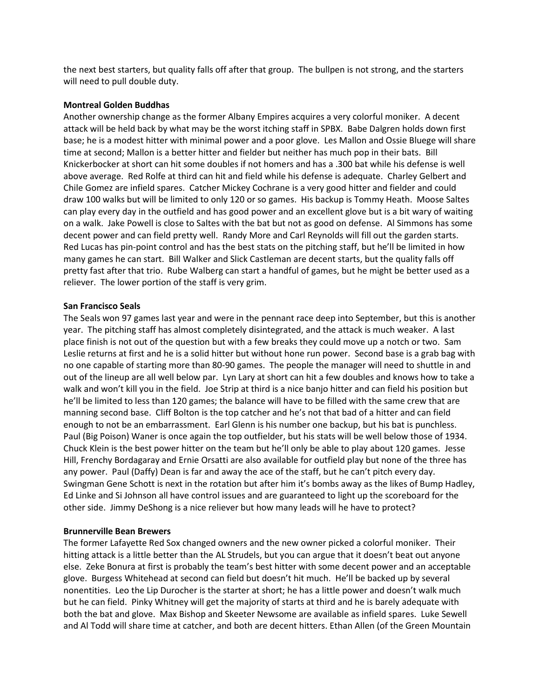the next best starters, but quality falls off after that group. The bullpen is not strong, and the starters will need to pull double duty.

## **Montreal Golden Buddhas**

Another ownership change as the former Albany Empires acquires a very colorful moniker. A decent attack will be held back by what may be the worst itching staff in SPBX. Babe Dalgren holds down first base; he is a modest hitter with minimal power and a poor glove. Les Mallon and Ossie Bluege will share time at second; Mallon is a better hitter and fielder but neither has much pop in their bats. Bill Knickerbocker at short can hit some doubles if not homers and has a .300 bat while his defense is well above average. Red Rolfe at third can hit and field while his defense is adequate. Charley Gelbert and Chile Gomez are infield spares. Catcher Mickey Cochrane is a very good hitter and fielder and could draw 100 walks but will be limited to only 120 or so games. His backup is Tommy Heath. Moose Saltes can play every day in the outfield and has good power and an excellent glove but is a bit wary of waiting on a walk. Jake Powell is close to Saltes with the bat but not as good on defense. Al Simmons has some decent power and can field pretty well. Randy More and Carl Reynolds will fill out the garden starts. Red Lucas has pin-point control and has the best stats on the pitching staff, but he'll be limited in how many games he can start. Bill Walker and Slick Castleman are decent starts, but the quality falls off pretty fast after that trio. Rube Walberg can start a handful of games, but he might be better used as a reliever. The lower portion of the staff is very grim.

## **San Francisco Seals**

The Seals won 97 games last year and were in the pennant race deep into September, but this is another year. The pitching staff has almost completely disintegrated, and the attack is much weaker. A last place finish is not out of the question but with a few breaks they could move up a notch or two. Sam Leslie returns at first and he is a solid hitter but without hone run power. Second base is a grab bag with no one capable of starting more than 80-90 games. The people the manager will need to shuttle in and out of the lineup are all well below par. Lyn Lary at short can hit a few doubles and knows how to take a walk and won't kill you in the field. Joe Strip at third is a nice banjo hitter and can field his position but he'll be limited to less than 120 games; the balance will have to be filled with the same crew that are manning second base. Cliff Bolton is the top catcher and he's not that bad of a hitter and can field enough to not be an embarrassment. Earl Glenn is his number one backup, but his bat is punchless. Paul (Big Poison) Waner is once again the top outfielder, but his stats will be well below those of 1934. Chuck Klein is the best power hitter on the team but he'll only be able to play about 120 games. Jesse Hill, Frenchy Bordagaray and Ernie Orsatti are also available for outfield play but none of the three has any power. Paul (Daffy) Dean is far and away the ace of the staff, but he can't pitch every day. Swingman Gene Schott is next in the rotation but after him it's bombs away as the likes of Bump Hadley, Ed Linke and Si Johnson all have control issues and are guaranteed to light up the scoreboard for the other side. Jimmy DeShong is a nice reliever but how many leads will he have to protect?

# **Brunnerville Bean Brewers**

The former Lafayette Red Sox changed owners and the new owner picked a colorful moniker. Their hitting attack is a little better than the AL Strudels, but you can argue that it doesn't beat out anyone else. Zeke Bonura at first is probably the team's best hitter with some decent power and an acceptable glove. Burgess Whitehead at second can field but doesn't hit much. He'll be backed up by several nonentities. Leo the Lip Durocher is the starter at short; he has a little power and doesn't walk much but he can field. Pinky Whitney will get the majority of starts at third and he is barely adequate with both the bat and glove. Max Bishop and Skeeter Newsome are available as infield spares. Luke Sewell and Al Todd will share time at catcher, and both are decent hitters. Ethan Allen (of the Green Mountain